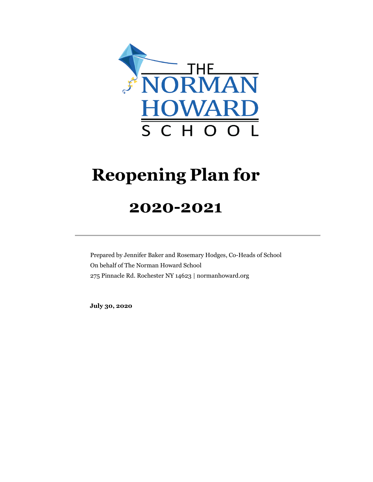

# **Reopening Plan for**

# **2020-2021**

Prepared by Jennifer Baker and Rosemary Hodges, Co-Heads of School On behalf of The Norman Howard School 275 Pinnacle Rd. Rochester NY 14623 | normanhoward.org

**July 30, 2020**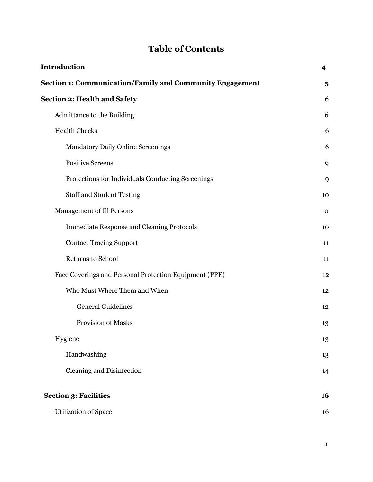# **Table of Contents**

| <b>Introduction</b>                                             | $\overline{\mathbf{4}}$ |
|-----------------------------------------------------------------|-------------------------|
| <b>Section 1: Communication/Family and Community Engagement</b> | $\overline{\mathbf{5}}$ |
| <b>Section 2: Health and Safety</b>                             | 6                       |
| Admittance to the Building                                      | 6                       |
| <b>Health Checks</b>                                            | 6                       |
| <b>Mandatory Daily Online Screenings</b>                        | 6                       |
| <b>Positive Screens</b>                                         | 9                       |
| Protections for Individuals Conducting Screenings               | 9                       |
| <b>Staff and Student Testing</b>                                | 10                      |
| <b>Management of Ill Persons</b>                                | 10                      |
| <b>Immediate Response and Cleaning Protocols</b>                | 10                      |
| <b>Contact Tracing Support</b>                                  | 11                      |
| Returns to School                                               | 11                      |
| Face Coverings and Personal Protection Equipment (PPE)          | 12                      |
| Who Must Where Them and When                                    | 12                      |
| <b>General Guidelines</b>                                       | 12                      |
| Provision of Masks                                              | 13                      |
| Hygiene                                                         | 13                      |
| Handwashing                                                     | 13                      |
| <b>Cleaning and Disinfection</b>                                | 14                      |
| <b>Section 3: Facilities</b>                                    | 16                      |
| <b>Utilization of Space</b>                                     | 16                      |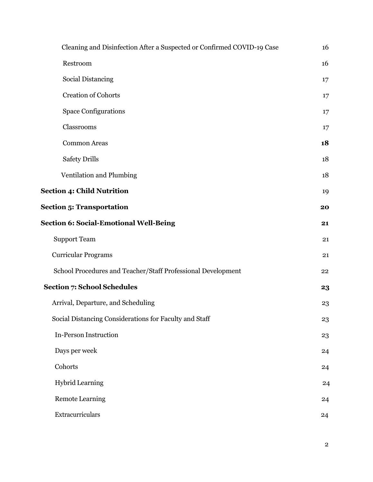| Cleaning and Disinfection After a Suspected or Confirmed COVID-19 Case | 16 |
|------------------------------------------------------------------------|----|
| Restroom                                                               | 16 |
| <b>Social Distancing</b>                                               | 17 |
| <b>Creation of Cohorts</b>                                             | 17 |
| <b>Space Configurations</b>                                            | 17 |
| Classrooms                                                             | 17 |
| <b>Common Areas</b>                                                    | 18 |
| <b>Safety Drills</b>                                                   | 18 |
| Ventilation and Plumbing                                               | 18 |
| <b>Section 4: Child Nutrition</b>                                      | 19 |
| <b>Section 5: Transportation</b>                                       | 20 |
| <b>Section 6: Social-Emotional Well-Being</b>                          | 21 |
| <b>Support Team</b>                                                    | 21 |
| <b>Curricular Programs</b>                                             | 21 |
| School Procedures and Teacher/Staff Professional Development           | 22 |
| <b>Section 7: School Schedules</b>                                     | 23 |
| Arrival, Departure, and Scheduling                                     | 23 |
| Social Distancing Considerations for Faculty and Staff                 | 23 |
| <b>In-Person Instruction</b>                                           | 23 |
| Days per week                                                          | 24 |
| Cohorts                                                                | 24 |
| <b>Hybrid Learning</b>                                                 | 24 |
| <b>Remote Learning</b>                                                 | 24 |
| Extracurriculars                                                       | 24 |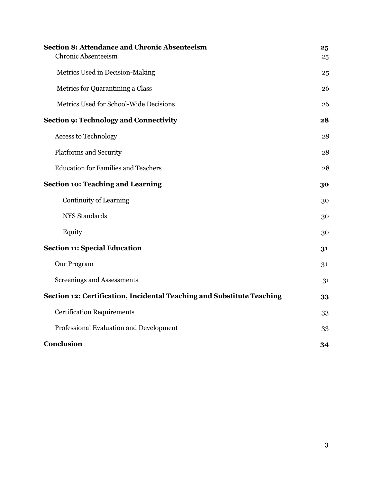| <b>Section 8: Attendance and Chronic Absenteeism</b><br>Chronic Absenteeism | 25<br>25 |
|-----------------------------------------------------------------------------|----------|
| Metrics Used in Decision-Making                                             | 25       |
| Metrics for Quarantining a Class                                            | 26       |
| Metrics Used for School-Wide Decisions                                      | 26       |
| <b>Section 9: Technology and Connectivity</b>                               | 28       |
| <b>Access to Technology</b>                                                 | 28       |
| <b>Platforms and Security</b>                                               | 28       |
| <b>Education for Families and Teachers</b>                                  | 28       |
| <b>Section 10: Teaching and Learning</b>                                    | 30       |
| Continuity of Learning                                                      | 30       |
| NYS Standards                                                               | 30       |
| Equity                                                                      | 30       |
| <b>Section 11: Special Education</b>                                        | 31       |
| Our Program                                                                 | 31       |
| Screenings and Assessments                                                  | 31       |
| Section 12: Certification, Incidental Teaching and Substitute Teaching      | 33       |
| <b>Certification Requirements</b>                                           | 33       |
| Professional Evaluation and Development                                     | 33       |
| Conclusion                                                                  | 34       |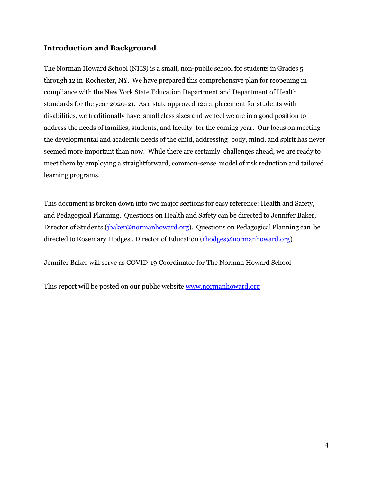#### <span id="page-4-0"></span>**Introduction and Background**

The Norman Howard School (NHS) is a small, non-public school for students in Grades 5 through 12 in Rochester, NY. We have prepared this comprehensive plan for reopening in compliance with the New York State Education Department and Department of Health standards for the year 2020-21. As a state approved 12:1:1 placement for students with disabilities, we traditionally have small class sizes and we feel we are in a good position to address the needs of families, students, and faculty for the coming year. Our focus on meeting the developmental and academic needs of the child, addressing body, mind, and spirit has never seemed more important than now. While there are certainly challenges ahead, we are ready to meet them by employing a straightforward, common-sense model of risk reduction and tailored learning programs.

This document is broken down into two major sections for easy reference: Health and Safety, and Pedagogical Planning. Questions on Health and Safety can be directed to Jennifer Baker, Director of Students [\(jbaker@normanhoward.org\)](mailto:jbaker@normanhoward.org). Questions on Pedagogical Planning can be directed to Rosemary Hodges , Director of Education [\(rhodges@normanhoward.org\)](mailto:rhodges@normanhoward.org)

Jennifer Baker will serve as COVID-19 Coordinator for The Norman Howard School

This report will be posted on our public website [www.normanhoward.org](http://www.normanhoward.org/)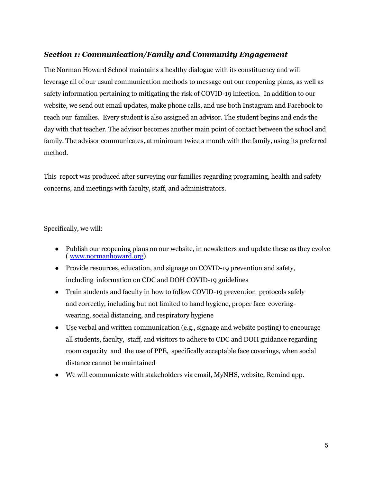#### *Section 1: Communication/Family and Community Engagement*

The Norman Howard School maintains a healthy dialogue with its constituency and will leverage all of our usual communication methods to message out our reopening plans, as well as safety information pertaining to mitigating the risk of COVID-19 infection. In addition to our website, we send out email updates, make phone calls, and use both Instagram and Facebook to reach our families. Every student is also assigned an advisor. The student begins and ends the day with that teacher. The advisor becomes another main point of contact between the school and family. The advisor communicates, at minimum twice a month with the family, using its preferred method.

This report was produced after surveying our families regarding programing, health and safety concerns, and meetings with faculty, staff, and administrators.

Specifically, we will:

- Publish our reopening plans on our website, in newsletters and update these as they evolve [\( www.normanhoward.org\)](http://www.normanhoward.org/)
- Provide resources, education, and signage on COVID-19 prevention and safety, including information on CDC and DOH COVID-19 guidelines
- Train students and faculty in how to follow COVID-19 prevention protocols safely and correctly, including but not limited to hand hygiene, proper face coveringwearing, social distancing, and respiratory hygiene
- Use verbal and written communication (e.g., signage and website posting) to encourage all students, faculty, staff, and visitors to adhere to CDC and DOH guidance regarding room capacity and the use of PPE, specifically acceptable face coverings, when social distance cannot be maintained
- We will communicate with stakeholders via email, MyNHS, website, Remind app.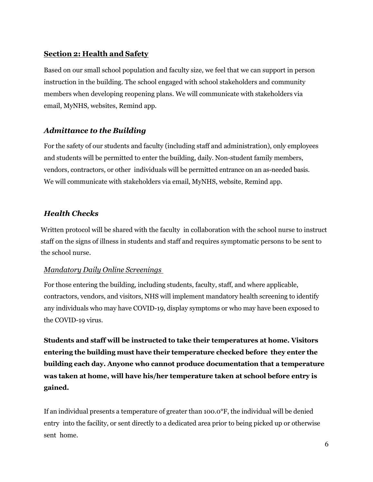#### <span id="page-6-0"></span>**Section 2: Health and Safety**

Based on our small school population and faculty size, we feel that we can support in person instruction in the building. The school engaged with school stakeholders and community members when developing reopening plans. We will communicate with stakeholders via email, MyNHS, websites, Remind app.

#### <span id="page-6-1"></span>*Admittance to the Building*

For the safety of our students and faculty (including staff and administration), only employees and students will be permitted to enter the building, daily. Non-student family members, vendors, contractors, or other individuals will be permitted entrance on an as-needed basis. We will communicate with stakeholders via email, MyNHS, website, Remind app.

#### <span id="page-6-2"></span>*Health Checks*

<span id="page-6-3"></span>Written protocol will be shared with the faculty in collaboration with the school nurse to instruct staff on the signs of illness in students and staff and requires symptomatic persons to be sent to the school nurse.

#### *Mandatory Daily Online Screenings*

For those entering the building, including students, faculty, staff, and where applicable, contractors, vendors, and visitors, NHS will implement mandatory health screening to identify any individuals who may have COVID-19, display symptoms or who may have been exposed to the COVID-19 virus.

**Students and staff will be instructed to take their temperatures at home. Visitors entering the building must have their temperature checked before they enter the building each day. Anyone who cannot produce documentation that a temperature was taken at home, will have his/her temperature taken at school before entry is gained.** 

If an individual presents a temperature of greater than 100.0°F, the individual will be denied entry into the facility, or sent directly to a dedicated area prior to being picked up or otherwise sent home.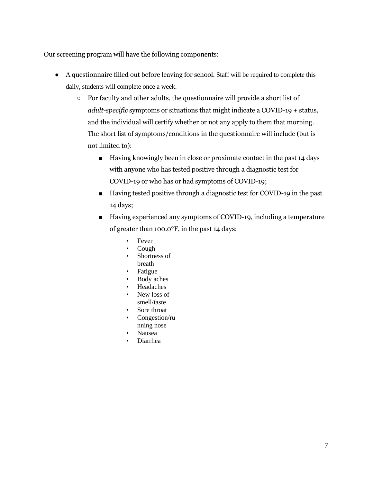Our screening program will have the following components:

- A questionnaire filled out before leaving for school. Staff will be required to complete this daily, students will complete once a week.
	- For faculty and other adults, the questionnaire will provide a short list of *adult-specific* symptoms or situations that might indicate a COVID-19 + status, and the individual will certify whether or not any apply to them that morning. The short list of symptoms/conditions in the questionnaire will include (but is not limited to):
		- Having knowingly been in close or proximate contact in the past 14 days with anyone who has tested positive through a diagnostic test for COVID-19 or who has or had symptoms of COVID-19;
		- Having tested positive through a diagnostic test for COVID-19 in the past 14 days;
		- Having experienced any symptoms of COVID-19, including a temperature of greater than 100.0°F, in the past 14 days;
			- Fever
			- Cough
			- Shortness of breath
			- Fatigue
			- Body aches
			- Headaches
			- New loss of smell/taste
			- Sore throat
			- Congestion/ru nning nose
			- Nausea
			- Diarrhea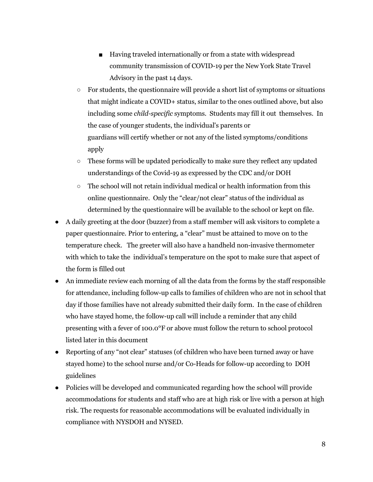- Having traveled internationally or from a state with widespread community transmission of COVID-19 per the New York State Travel Advisory in the past 14 days.
- For students, the questionnaire will provide a short list of symptoms or situations that might indicate a COVID+ status, similar to the ones outlined above, but also including some *child-specific* symptoms. Students may fill it out themselves. In the case of younger students, the individual's parents or guardians will certify whether or not any of the listed symptoms/conditions apply
- $\circ$  These forms will be updated periodically to make sure they reflect any updated understandings of the Covid-19 as expressed by the CDC and/or DOH
- The school will not retain individual medical or health information from this online questionnaire. Only the "clear/not clear" status of the individual as determined by the questionnaire will be available to the school or kept on file.
- A daily greeting at the door (buzzer) from a staff member will ask visitors to complete a paper questionnaire. Prior to entering, a "clear" must be attained to move on to the temperature check. The greeter will also have a handheld non-invasive thermometer with which to take the individual's temperature on the spot to make sure that aspect of the form is filled out
- An immediate review each morning of all the data from the forms by the staff responsible for attendance, including follow-up calls to families of children who are not in school that day if those families have not already submitted their daily form. In the case of children who have stayed home, the follow-up call will include a reminder that any child presenting with a fever of 100.0°F or above must follow the return to school protocol listed later in this document
- Reporting of any "not clear" statuses (of children who have been turned away or have stayed home) to the school nurse and/or Co-Heads for follow-up according to DOH guidelines
- Policies will be developed and communicated regarding how the school will provide accommodations for students and staff who are at high risk or live with a person at high risk. The requests for reasonable accommodations will be evaluated individually in compliance with NYSDOH and NYSED.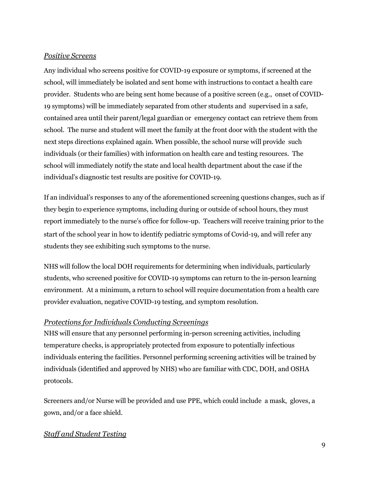#### <span id="page-9-0"></span>*Positive Screens*

Any individual who screens positive for COVID-19 exposure or symptoms, if screened at the school, will immediately be isolated and sent home with instructions to contact a health care provider. Students who are being sent home because of a positive screen (e.g., onset of COVID-19 symptoms) will be immediately separated from other students and supervised in a safe, contained area until their parent/legal guardian or emergency contact can retrieve them from school. The nurse and student will meet the family at the front door with the student with the next steps directions explained again. When possible, the school nurse will provide such individuals (or their families) with information on health care and testing resources. The school will immediately notify the state and local health department about the case if the individual's diagnostic test results are positive for COVID-19.

If an individual's responses to any of the aforementioned screening questions changes, such as if they begin to experience symptoms, including during or outside of school hours, they must report immediately to the nurse's office for follow-up. Teachers will receive training prior to the start of the school year in how to identify pediatric symptoms of Covid-19, and will refer any students they see exhibiting such symptoms to the nurse.

NHS will follow the local DOH requirements for determining when individuals, particularly students, who screened positive for COVID-19 symptoms can return to the in-person learning environment. At a minimum, a return to school will require documentation from a health care provider evaluation, negative COVID-19 testing, and symptom resolution.

#### <span id="page-9-1"></span>*Protections for Individuals Conducting Screenings*

NHS will ensure that any personnel performing in-person screening activities, including temperature checks, is appropriately protected from exposure to potentially infectious individuals entering the facilities. Personnel performing screening activities will be trained by individuals (identified and approved by NHS) who are familiar with CDC, DOH, and OSHA protocols.

Screeners and/or Nurse will be provided and use PPE, which could include a mask, gloves, a gown, and/or a face shield.

#### <span id="page-9-2"></span>*Staff and Student Testing*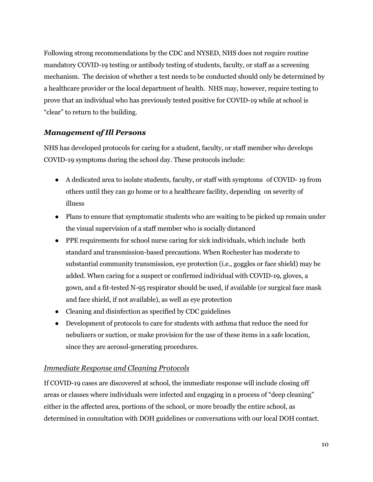Following strong recommendations by the CDC and NYSED, NHS does not require routine mandatory COVID-19 testing or antibody testing of students, faculty, or staff as a screening mechanism. The decision of whether a test needs to be conducted should only be determined by a healthcare provider or the local department of health. NHS may, however, require testing to prove that an individual who has previously tested positive for COVID-19 while at school is "clear" to return to the building.

#### <span id="page-10-0"></span>*Management of Ill Persons*

NHS has developed protocols for caring for a student, faculty, or staff member who develops COVID-19 symptoms during the school day. These protocols include:

- A dedicated area to isolate students, faculty, or staff with symptoms of COVID- 19 from others until they can go home or to a healthcare facility, depending on severity of illness
- Plans to ensure that symptomatic students who are waiting to be picked up remain under the visual supervision of a staff member who is socially distanced
- PPE requirements for school nurse caring for sick individuals, which include both standard and transmission-based precautions. When Rochester has moderate to substantial community transmission, eye protection (i.e., goggles or face shield) may be added. When caring for a suspect or confirmed individual with COVID-19, gloves, a gown, and a fit-tested N-95 respirator should be used, if available (or surgical face mask and face shield, if not available), as well as eye protection
- Cleaning and disinfection as specified by CDC guidelines
- Development of protocols to care for students with asthma that reduce the need for nebulizers or suction, or make provision for the use of these items in a safe location, since they are aerosol-generating procedures.

#### <span id="page-10-1"></span>*Immediate Response and Cleaning Protocols*

If COVID-19 cases are discovered at school, the immediate response will include closing off areas or classes where individuals were infected and engaging in a process of "deep cleaning" either in the affected area, portions of the school, or more broadly the entire school, as determined in consultation with DOH guidelines or conversations with our local DOH contact.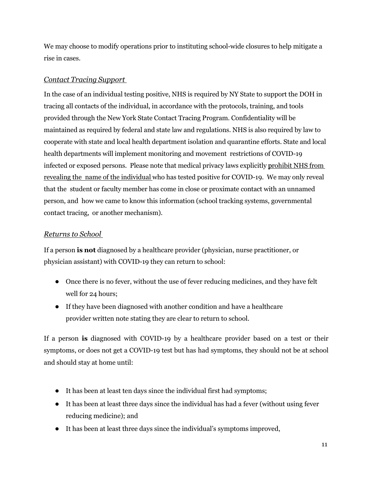We may choose to modify operations prior to instituting school-wide closures to help mitigate a rise in cases.

#### <span id="page-11-0"></span>*Contact Tracing Support*

In the case of an individual testing positive, NHS is required by NY State to support the DOH in tracing all contacts of the individual, in accordance with the protocols, training, and tools provided through the New York State Contact Tracing Program. Confidentiality will be maintained as required by federal and state law and regulations. NHS is also required by law to cooperate with state and local health department isolation and quarantine efforts. State and local health departments will implement monitoring and movement restrictions of COVID-19 infected or exposed persons. Please note that medical privacy laws explicitly prohibit NHS from revealing the name of the individual who has tested positive for COVID-19. We may only reveal that the student or faculty member has come in close or proximate contact with an unnamed person, and how we came to know this information (school tracking systems, governmental contact tracing, or another mechanism).

#### <span id="page-11-1"></span>*Returns to School*

If a person **is not** diagnosed by a healthcare provider (physician, nurse practitioner, or physician assistant) with COVID-19 they can return to school:

- Once there is no fever, without the use of fever reducing medicines, and they have felt well for 24 hours;
- If they have been diagnosed with another condition and have a healthcare provider written note stating they are clear to return to school.

If a person **is** diagnosed with COVID-19 by a healthcare provider based on a test or their symptoms, or does not get a COVID-19 test but has had symptoms, they should not be at school and should stay at home until:

- It has been at least ten days since the individual first had symptoms;
- It has been at least three days since the individual has had a fever (without using fever reducing medicine); and
- It has been at least three days since the individual's symptoms improved,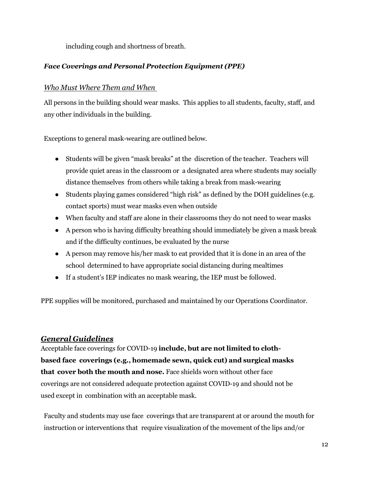including cough and shortness of breath.

#### <span id="page-12-0"></span>*Face Coverings and Personal Protection Equipment (PPE)*

#### <span id="page-12-1"></span>*Who Must Where Them and When*

All persons in the building should wear masks. This applies to all students, faculty, staff, and any other individuals in the building.

Exceptions to general mask-wearing are outlined below.

- Students will be given "mask breaks" at the discretion of the teacher. Teachers will provide quiet areas in the classroom or a designated area where students may socially distance themselves from others while taking a break from mask-wearing
- Students playing games considered "high risk" as defined by the DOH guidelines (e.g. contact sports) must wear masks even when outside
- When faculty and staff are alone in their classrooms they do not need to wear masks
- A person who is having difficulty breathing should immediately be given a mask break and if the difficulty continues, be evaluated by the nurse
- A person may remove his/her mask to eat provided that it is done in an area of the school determined to have appropriate social distancing during mealtimes
- If a student's IEP indicates no mask wearing, the IEP must be followed.

PPE supplies will be monitored, purchased and maintained by our Operations Coordinator.

#### <span id="page-12-2"></span>*General Guidelines*

Acceptable face coverings for COVID-19 **include, but are not limited to clothbased face coverings (e.g., homemade sewn, quick cut) and surgical masks that cover both the mouth and nose.** Face shields worn without other face coverings are not considered adequate protection against COVID-19 and should not be used except in combination with an acceptable mask.

Faculty and students may use face coverings that are transparent at or around the mouth for instruction or interventions that require visualization of the movement of the lips and/or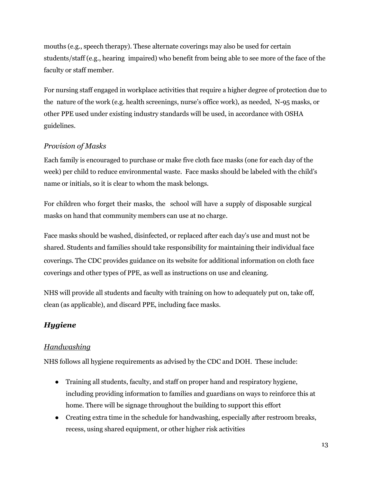mouths (e.g., speech therapy). These alternate coverings may also be used for certain students/staff (e.g., hearing impaired) who benefit from being able to see more of the face of the faculty or staff member.

For nursing staff engaged in workplace activities that require a higher degree of protection due to the nature of the work (e.g. health screenings, nurse's office work), as needed, N-95 masks, or other PPE used under existing industry standards will be used, in accordance with OSHA guidelines.

#### <span id="page-13-0"></span>*Provision of Masks*

Each family is encouraged to purchase or make five cloth face masks (one for each day of the week) per child to reduce environmental waste. Face masks should be labeled with the child's name or initials, so it is clear to whom the mask belongs.

For children who forget their masks, the school will have a supply of disposable surgical masks on hand that community members can use at no charge.

Face masks should be washed, disinfected, or replaced after each day's use and must not be shared. Students and families should take responsibility for maintaining their individual face coverings. The CDC provides guidance on its website for additional information on cloth face coverings and other types of PPE, as well as instructions on use and cleaning.

NHS will provide all students and faculty with training on how to adequately put on, take off, clean (as applicable), and discard PPE, including face masks.

#### <span id="page-13-1"></span>*Hygiene*

#### <span id="page-13-2"></span>*Handwashing*

NHS follows all hygiene requirements as advised by the CDC and DOH. These include:

- Training all students, faculty, and staff on proper hand and respiratory hygiene, including providing information to families and guardians on ways to reinforce this at home. There will be signage throughout the building to support this effort
- Creating extra time in the schedule for handwashing, especially after restroom breaks, recess, using shared equipment, or other higher risk activities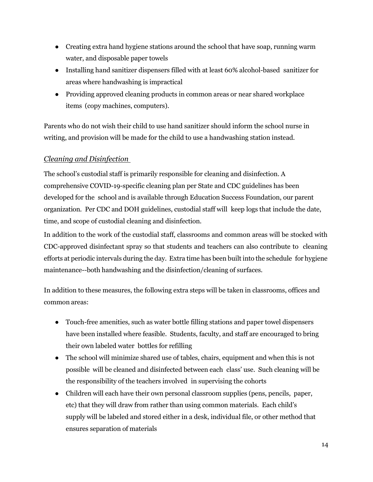- Creating extra hand hygiene stations around the school that have soap, running warm water, and disposable paper towels
- Installing hand sanitizer dispensers filled with at least 60% alcohol-based sanitizer for areas where handwashing is impractical
- Providing approved cleaning products in common areas or near shared workplace items (copy machines, computers).

Parents who do not wish their child to use hand sanitizer should inform the school nurse in writing, and provision will be made for the child to use a handwashing station instead.

#### <span id="page-14-0"></span>*Cleaning and Disinfection*

The school's custodial staff is primarily responsible for cleaning and disinfection. A comprehensive COVID-19-specific cleaning plan per State and CDC guidelines has been developed for the school and is available through Education Success Foundation, our parent organization. Per CDC and DOH guidelines, custodial staff will keep logs that include the date, time, and scope of custodial cleaning and disinfection.

In addition to the work of the custodial staff, classrooms and common areas will be stocked with CDC-approved disinfectant spray so that students and teachers can also contribute to cleaning efforts at periodic intervals during the day. Extra time has been built into the schedule for hygiene maintenance--both handwashing and the disinfection/cleaning of surfaces.

In addition to these measures, the following extra steps will be taken in classrooms, offices and common areas:

- Touch-free amenities, such as water bottle filling stations and paper towel dispensers have been installed where feasible. Students, faculty, and staff are encouraged to bring their own labeled water bottles for refilling
- The school will minimize shared use of tables, chairs, equipment and when this is not possible will be cleaned and disinfected between each class' use. Such cleaning will be the responsibility of the teachers involved in supervising the cohorts
- Children will each have their own personal classroom supplies (pens, pencils, paper, etc) that they will draw from rather than using common materials. Each child's supply will be labeled and stored either in a desk, individual file, or other method that ensures separation of materials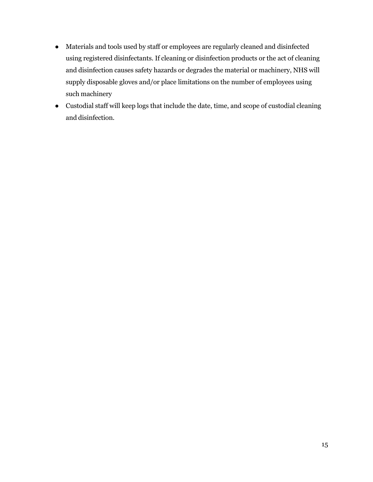- Materials and tools used by staff or employees are regularly cleaned and disinfected using registered disinfectants. If cleaning or disinfection products or the act of cleaning and disinfection causes safety hazards or degrades the material or machinery, NHS will supply disposable gloves and/or place limitations on the number of employees using such machinery
- Custodial staff will keep logs that include the date, time, and scope of custodial cleaning and disinfection.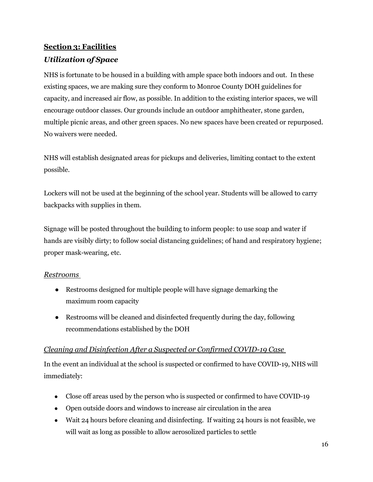# **Section 3: Facilities** *Utilization of Space*

NHS is fortunate to be housed in a building with ample space both indoors and out. In these existing spaces, we are making sure they conform to Monroe County DOH guidelines for capacity, and increased air flow, as possible. In addition to the existing interior spaces, we will encourage outdoor classes. Our grounds include an outdoor amphitheater, stone garden, multiple picnic areas, and other green spaces. No new spaces have been created or repurposed. No waivers were needed.

NHS will establish designated areas for pickups and deliveries, limiting contact to the extent possible.

Lockers will not be used at the beginning of the school year. Students will be allowed to carry backpacks with supplies in them.

Signage will be posted throughout the building to inform people: to use soap and water if hands are visibly dirty; to follow social distancing guidelines; of hand and respiratory hygiene; proper mask-wearing, etc.

#### *Restrooms*

- Restrooms designed for multiple people will have signage demarking the maximum room capacity
- Restrooms will be cleaned and disinfected frequently during the day, following recommendations established by the DOH

#### *Cleaning and Disinfection After a Suspected or Confirmed COVID-19 Case*

In the event an individual at the school is suspected or confirmed to have COVID-19, NHS will immediately:

- Close off areas used by the person who is suspected or confirmed to have COVID-19
- Open outside doors and windows to increase air circulation in the area
- Wait 24 hours before cleaning and disinfecting. If waiting 24 hours is not feasible, we will wait as long as possible to allow aerosolized particles to settle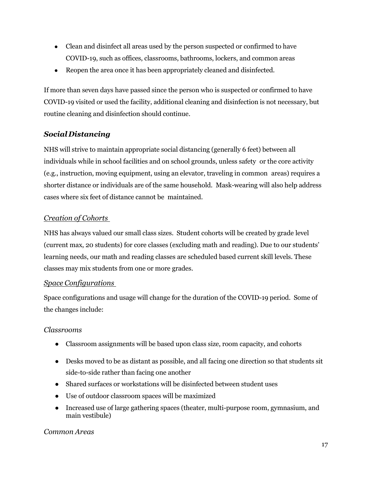- Clean and disinfect all areas used by the person suspected or confirmed to have COVID-19, such as offices, classrooms, bathrooms, lockers, and common areas
- Reopen the area once it has been appropriately cleaned and disinfected.

If more than seven days have passed since the person who is suspected or confirmed to have COVID-19 visited or used the facility, additional cleaning and disinfection is not necessary, but routine cleaning and disinfection should continue.

#### *Social Distancing*

NHS will strive to maintain appropriate social distancing (generally 6 feet) between all individuals while in school facilities and on school grounds, unless safety or the core activity (e.g., instruction, moving equipment, using an elevator, traveling in common areas) requires a shorter distance or individuals are of the same household. Mask-wearing will also help address cases where six feet of distance cannot be maintained.

#### *Creation of Cohorts*

NHS has always valued our small class sizes. Student cohorts will be created by grade level (current max, 20 students) for core classes (excluding math and reading). Due to our students' learning needs, our math and reading classes are scheduled based current skill levels. These classes may mix students from one or more grades.

#### *Space Configurations*

Space configurations and usage will change for the duration of the COVID-19 period. Some of the changes include:

#### *Classrooms*

- Classroom assignments will be based upon class size, room capacity, and cohorts
- Desks moved to be as distant as possible, and all facing one direction so that students sit side-to-side rather than facing one another
- Shared surfaces or workstations will be disinfected between student uses
- Use of outdoor classroom spaces will be maximized
- Increased use of large gathering spaces (theater, multi-purpose room, gymnasium, and main vestibule)

#### *Common Areas*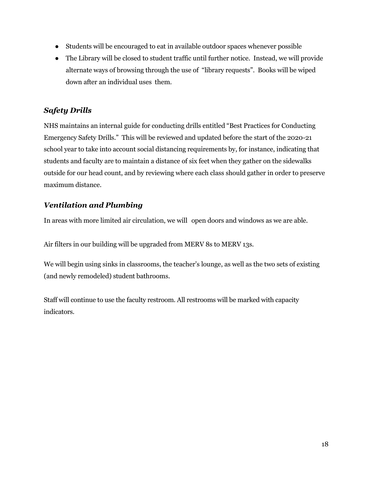- Students will be encouraged to eat in available outdoor spaces whenever possible
- The Library will be closed to student traffic until further notice. Instead, we will provide alternate ways of browsing through the use of "library requests". Books will be wiped down after an individual uses them.

#### *Safety Drills*

NHS maintains an internal guide for conducting drills entitled "Best Practices for Conducting Emergency Safety Drills." This will be reviewed and updated before the start of the 2020-21 school year to take into account social distancing requirements by, for instance, indicating that students and faculty are to maintain a distance of six feet when they gather on the sidewalks outside for our head count, and by reviewing where each class should gather in order to preserve maximum distance.

#### *Ventilation and Plumbing*

In areas with more limited air circulation, we will open doors and windows as we are able.

Air filters in our building will be upgraded from MERV 8s to MERV 13s.

We will begin using sinks in classrooms, the teacher's lounge, as well as the two sets of existing (and newly remodeled) student bathrooms.

Staff will continue to use the faculty restroom. All restrooms will be marked with capacity indicators.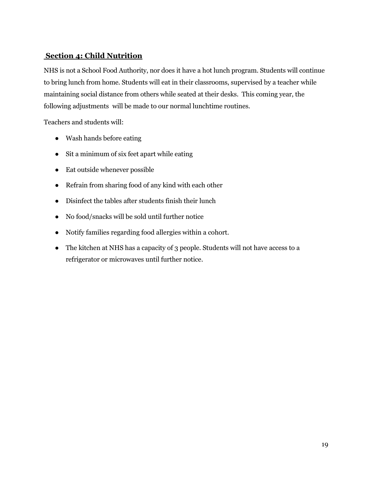#### **Section 4: Child Nutrition**

NHS is not a School Food Authority, nor does it have a hot lunch program. Students will continue to bring lunch from home. Students will eat in their classrooms, supervised by a teacher while maintaining social distance from others while seated at their desks. This coming year, the following adjustments will be made to our normal lunchtime routines.

Teachers and students will:

- Wash hands before eating
- Sit a minimum of six feet apart while eating
- Eat outside whenever possible
- Refrain from sharing food of any kind with each other
- Disinfect the tables after students finish their lunch
- No food/snacks will be sold until further notice
- Notify families regarding food allergies within a cohort.
- The kitchen at NHS has a capacity of 3 people. Students will not have access to a refrigerator or microwaves until further notice.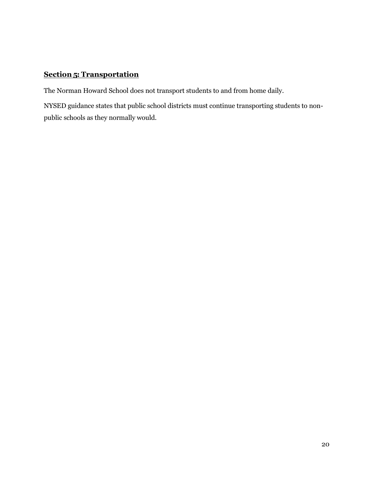#### **Section 5: Transportation**

The Norman Howard School does not transport students to and from home daily.

NYSED guidance states that public school districts must continue transporting students to nonpublic schools as they normally would.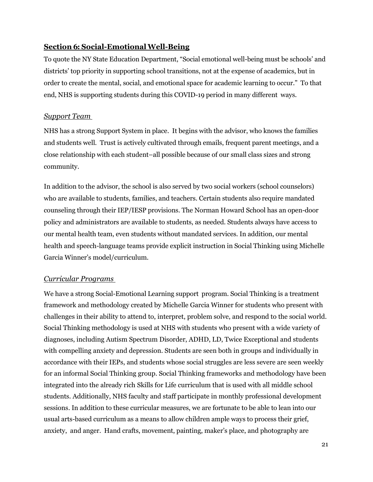#### **Section 6: Social-EmotionalWell-Being**

To quote the NY State Education Department, "Social emotional well-being must be schools' and districts' top priority in supporting school transitions, not at the expense of academics, but in order to create the mental, social, and emotional space for academic learning to occur." To that end, NHS is supporting students during this COVID-19 period in many different ways.

#### *Support Team*

NHS has a strong Support System in place. It begins with the advisor, who knows the families and students well. Trust is actively cultivated through emails, frequent parent meetings, and a close relationship with each student–all possible because of our small class sizes and strong community.

In addition to the advisor, the school is also served by two social workers (school counselors) who are available to students, families, and teachers. Certain students also require mandated counseling through their IEP/IESP provisions. The Norman Howard School has an open-door policy and administrators are available to students, as needed. Students always have access to our mental health team, even students without mandated services. In addition, our mental health and speech-language teams provide explicit instruction in Social Thinking using Michelle Garcia Winner's model/curriculum.

#### *Curricular Programs*

We have a strong Social-Emotional Learning support program. Social Thinking is a treatment framework and methodology created by Michelle Garcia Winner for students who present with challenges in their ability to attend to, interpret, problem solve, and respond to the social world. Social Thinking methodology is used at NHS with students who present with a wide variety of diagnoses, including Autism Spectrum Disorder, ADHD, LD, Twice Exceptional and students with compelling anxiety and depression. Students are seen both in groups and individually in accordance with their IEPs, and students whose social struggles are less severe are seen weekly for an informal Social Thinking group. Social Thinking frameworks and methodology have been integrated into the already rich Skills for Life curriculum that is used with all middle school students. Additionally, NHS faculty and staff participate in monthly professional development sessions. In addition to these curricular measures, we are fortunate to be able to lean into our usual arts-based curriculum as a means to allow children ample ways to process their grief, anxiety, and anger. Hand crafts, movement, painting, maker's place, and photography are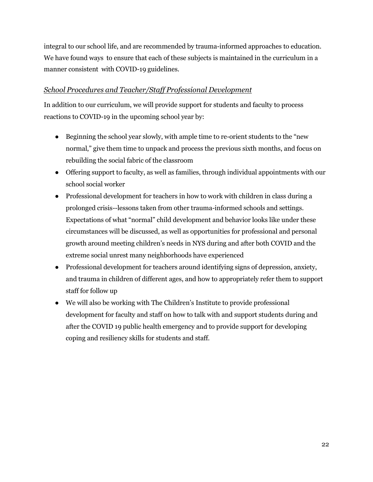integral to our school life, and are recommended by trauma-informed approaches to education. We have found ways to ensure that each of these subjects is maintained in the curriculum in a manner consistent with COVID-19 guidelines.

#### *School Procedures and Teacher/Staff Professional Development*

In addition to our curriculum, we will provide support for students and faculty to process reactions to COVID-19 in the upcoming school year by:

- Beginning the school year slowly, with ample time to re-orient students to the "new normal," give them time to unpack and process the previous sixth months, and focus on rebuilding the social fabric of the classroom
- Offering support to faculty, as well as families, through individual appointments with our school social worker
- Professional development for teachers in how to work with children in class during a prolonged crisis--lessons taken from other trauma-informed schools and settings. Expectations of what "normal" child development and behavior looks like under these circumstances will be discussed, as well as opportunities for professional and personal growth around meeting children's needs in NYS during and after both COVID and the extreme social unrest many neighborhoods have experienced
- Professional development for teachers around identifying signs of depression, anxiety, and trauma in children of different ages, and how to appropriately refer them to support staff for follow up
- We will also be working with The Children's Institute to provide professional development for faculty and staff on how to talk with and support students during and after the COVID 19 public health emergency and to provide support for developing coping and resiliency skills for students and staff.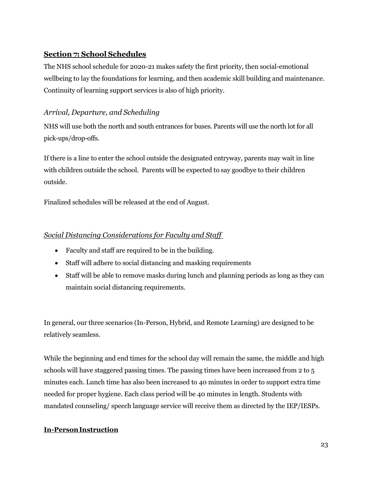#### <span id="page-23-4"></span><span id="page-23-0"></span>**Section 7: School Schedules**

The NHS school schedule for 2020-21 makes safety the first priority, then social-emotional wellbeing to lay the foundations for learning, and then academic skill building and maintenance. Continuity of learning support services is also of high priority.

#### <span id="page-23-1"></span>*Arrival, Departure, and Scheduling*

NHS will use both the north and south entrances for buses. Parents will use the north lot for all pick-ups/drop-offs.

If there is a line to enter the school outside the designated entryway, parents may wait in line with children outside the school. Parents will be expected to say goodbye to their children outside.

Finalized schedules will be released at the end of August.

#### <span id="page-23-2"></span>*Social Distancing Considerations for Faculty and Staff*

- Faculty and staff are required to be in the building.
- Staff will adhere to social distancing and masking requirements
- Staff will be able to remove masks during lunch and planning periods as long as they can maintain social distancing requirements.

<span id="page-23-3"></span>In general, our three scenarios (In-Person, Hybrid, and Remote Learning) are designed to be relatively seamless.

While the beginning and end times for the school day will remain the same, the middle and high schools will have staggered passing times. The passing times have been increased from 2 to 5 minutes each. Lunch time has also been increased to 40 minutes in order to support extra time needed for proper hygiene. Each class period will be 40 minutes in length. Students with mandated counseling/ speech language service will receive them as directed by the IEP/IESPs.

#### **In-PersonInstruction**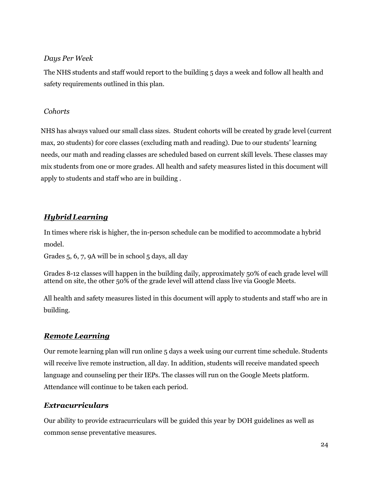#### *Days Per Week*

The NHS students and staff would report to the building 5 days a week and follow all health and safety requirements outlined in this plan.

#### *Cohorts*

NHS has always valued our small class sizes. Student cohorts will be created by grade level (current max, 20 students) for core classes (excluding math and reading). Due to our students' learning needs, our math and reading classes are scheduled based on current skill levels. These classes may mix students from one or more grades. All health and safety measures listed in this document will apply to students and staff who are in building .

### *HybridLearning*

In times where risk is higher, the in-person schedule can be modified to accommodate a hybrid model.

Grades 5, 6, 7, 9A will be in school 5 days, all day

Grades 8-12 classes will happen in the building daily, approximately 50% of each grade level will attend on site, the other 50% of the grade level will attend class live via Google Meets.

All health and safety measures listed in this document will apply to students and staff who are in building.

#### *Remote Learning*

Our remote learning plan will run online 5 days a week using our current time schedule. Students will receive live remote instruction, all day. In addition, students will receive mandated speech language and counseling per their IEPs. The classes will run on the Google Meets platform. Attendance will continue to be taken each period.

#### <span id="page-24-0"></span>*Extracurriculars*

Our ability to provide extracurriculars will be guided this year by DOH guidelines as well as common sense preventative measures.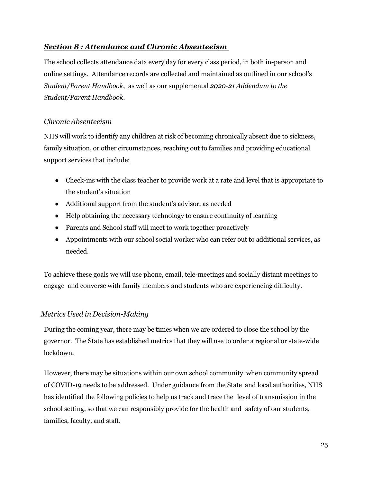#### *Section 8 : Attendance and Chronic Absenteeism*

The school collects attendance data every day for every class period, in both in-person and online settings. Attendance records are collected and maintained as outlined in our school's *Student/Parent Handbook*, as well as our supplemental *2020-21 Addendum to the Student/Parent Handbook*.

#### <span id="page-25-0"></span>*ChronicAbsenteeism*

NHS will work to identify any children at risk of becoming chronically absent due to sickness, family situation, or other circumstances, reaching out to families and providing educational support services that include:

- Check-ins with the class teacher to provide work at a rate and level that is appropriate to the student's situation
- Additional support from the student's advisor, as needed
- Help obtaining the necessary technology to ensure continuity of learning
- Parents and School staff will meet to work together proactively
- Appointments with our school social worker who can refer out to additional services, as needed.

To achieve these goals we will use phone, email, tele-meetings and socially distant meetings to engage and converse with family members and students who are experiencing difficulty.

#### *Metrics Used in Decision-Making*

During the coming year, there may be times when we are ordered to close the school by the governor. The State has established metrics that they will use to order a regional or state-wide lockdown.

However, there may be situations within our own school community when community spread of COVID-19 needs to be addressed. Under guidance from the State and local authorities, NHS has identified the following policies to help us track and trace the level of transmission in the school setting, so that we can responsibly provide for the health and safety of our students, families, faculty, and staff.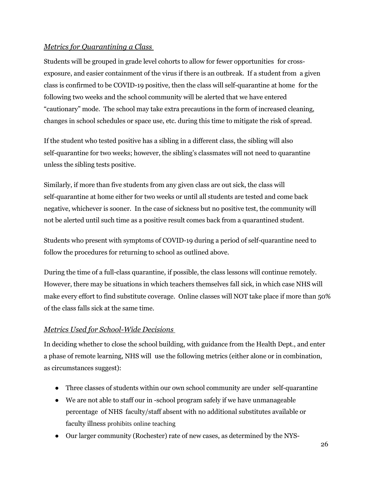#### <span id="page-26-0"></span>*Metrics for Quarantining a Class*

Students will be grouped in grade level cohorts to allow for fewer opportunities for crossexposure, and easier containment of the virus if there is an outbreak. If a student from a given class is confirmed to be COVID-19 positive, then the class will self-quarantine at home for the following two weeks and the school community will be alerted that we have entered "cautionary" mode. The school may take extra precautions in the form of increased cleaning, changes in school schedules or space use, etc. during this time to mitigate the risk of spread.

If the student who tested positive has a sibling in a different class, the sibling will also self-quarantine for two weeks; however, the sibling's classmates will not need to quarantine unless the sibling tests positive.

Similarly, if more than five students from any given class are out sick, the class will self-quarantine at home either for two weeks or until all students are tested and come back negative, whichever is sooner. In the case of sickness but no positive test, the community will not be alerted until such time as a positive result comes back from a quarantined student.

Students who present with symptoms of COVID-19 during a period of self-quarantine need to follow the procedures for returning to school as outlined above.

During the time of a full-class quarantine, if possible, the class lessons will continue remotely. However, there may be situations in which teachers themselves fall sick, in which case NHS will make every effort to find substitute coverage. Online classes will NOT take place if more than 50% of the class falls sick at the same time.

#### <span id="page-26-1"></span>*Metrics Used for School-Wide Decisions*

In deciding whether to close the school building, with guidance from the Health Dept., and enter a phase of remote learning, NHS will use the following metrics (either alone or in combination, as circumstances suggest):

- Three classes of students within our own school community are under self-quarantine
- We are not able to staff our in -school program safely if we have unmanageable percentage of NHS faculty/staff absent with no additional substitutes available or faculty illness prohibits online teaching
- Our larger community (Rochester) rate of new cases, as determined by the NYS-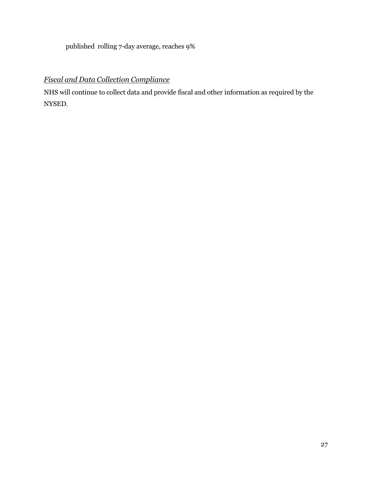published rolling 7-day average, reaches 9%

## *Fiscal and Data Collection Compliance*

NHS will continue to collect data and provide fiscal and other information as required by the NYSED.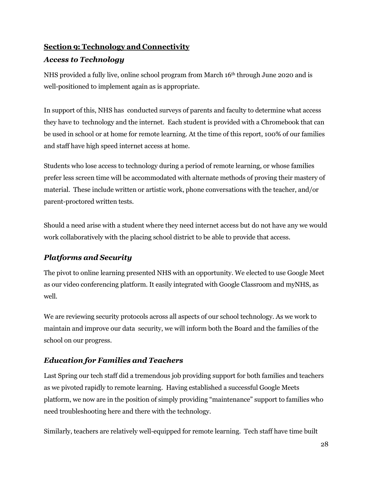# <span id="page-28-0"></span>**Section 9: Technology and Connectivity**

#### <span id="page-28-1"></span>*Access to Technology*

NHS provided a fully live, online school program from March 16th through June 2020 and is well-positioned to implement again as is appropriate.

In support of this, NHS has conducted surveys of parents and faculty to determine what access they have to technology and the internet. Each student is provided with a Chromebook that can be used in school or at home for remote learning. At the time of this report, 100% of our families and staff have high speed internet access at home.

Students who lose access to technology during a period of remote learning, or whose families prefer less screen time will be accommodated with alternate methods of proving their mastery of material. These include written or artistic work, phone conversations with the teacher, and/or parent-proctored written tests.

Should a need arise with a student where they need internet access but do not have any we would work collaboratively with the placing school district to be able to provide that access.

# <span id="page-28-2"></span>*Platforms and Security*

The pivot to online learning presented NHS with an opportunity. We elected to use Google Meet as our video conferencing platform. It easily integrated with Google Classroom and myNHS, as well.

We are reviewing security protocols across all aspects of our school technology. As we work to maintain and improve our data security, we will inform both the Board and the families of the school on our progress.

## <span id="page-28-3"></span>*Education for Families and Teachers*

Last Spring our tech staff did a tremendous job providing support for both families and teachers as we pivoted rapidly to remote learning. Having established a successful Google Meets platform, we now are in the position of simply providing "maintenance" support to families who need troubleshooting here and there with the technology.

Similarly, teachers are relatively well-equipped for remote learning. Tech staff have time built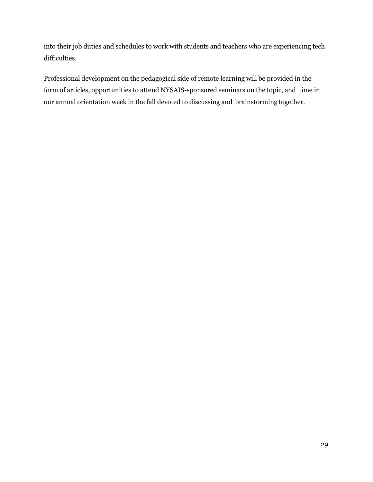into their job duties and schedules to work with students and teachers who are experiencing tech difficulties.

Professional development on the pedagogical side of remote learning will be provided in the form of articles, opportunities to attend NYSAIS-sponsored seminars on the topic, and time in our annual orientation week in the fall devoted to discussing and brainstorming together.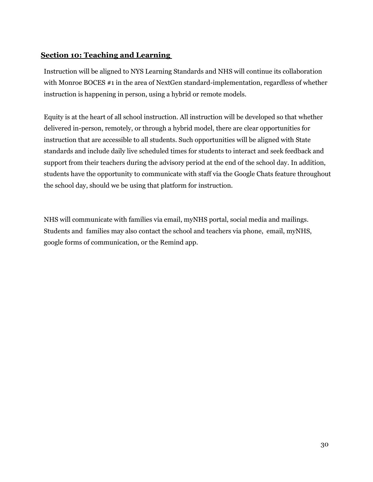#### **Section 10: Teaching and Learning**

Instruction will be aligned to NYS Learning Standards and NHS will continue its collaboration with Monroe BOCES #1 in the area of NextGen standard-implementation, regardless of whether instruction is happening in person, using a hybrid or remote models.

Equity is at the heart of all school instruction. All instruction will be developed so that whether delivered in-person, remotely, or through a hybrid model, there are clear opportunities for instruction that are accessible to all students. Such opportunities will be aligned with State standards and include daily live scheduled times for students to interact and seek feedback and support from their teachers during the advisory period at the end of the school day. In addition, students have the opportunity to communicate with staff via the Google Chats feature throughout the school day, should we be using that platform for instruction.

NHS will communicate with families via email, myNHS portal, social media and mailings. Students and families may also contact the school and teachers via phone, email, myNHS, google forms of communication, or the Remind app.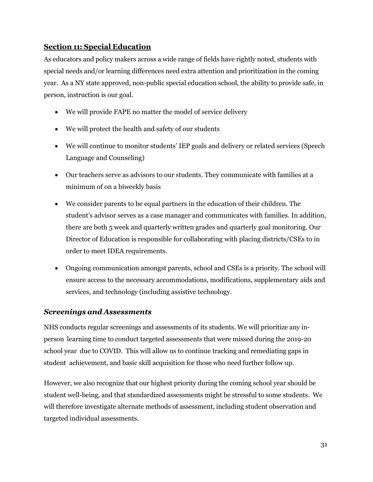#### <span id="page-31-0"></span>**Section 11: Special Education**

As educators and policy makers across a wide range of fields have rightly noted, students with special needs and/or learning differences need extra attention and prioritization in the coming year. As a NY state approved, non-public special education school, the ability to provide safe, in person, instruction is our goal.

- We will provide FAPE no matter the model of service delivery
- We will protect the health and safety of our students
- We will continue to monitor students' IEP goals and delivery or related services (Speech Language and Counseling)
- Our teachers serve as advisors to our students. They communicate with families at a minimum of on a biweekly basis
- We consider parents to be equal partners in the education of their children. The student's advisor serves as a case manager and communicates with families. In addition, there are both 5 week and quarterly written grades and quarterly goal monitoring. Our Director of Education is responsible for collaborating with placing districts/CSEs to in order to meet IDEA requirements.
- Ongoing communication amongst parents, school and CSEs is a priority. The school will ensure access to the necessary accommodations, modifications, supplementary aids and services, and technology (including assistive technology.

#### <span id="page-31-1"></span>*Screenings and Assessments*

NHS conducts regular screenings and assessments of its students. We will prioritize any inperson learning time to conduct targeted assessments that were missed during the 2019-20 school year due to COVID. This will allow us to continue tracking and remediating gaps in student achievement, and basic skill acquisition for those who need further follow up.

However, we also recognize that our highest priority during the coming school year should be student well-being, and that standardized assessments might be stressful to some students. We will therefore investigate alternate methods of assessment, including student observation and targeted individual assessments.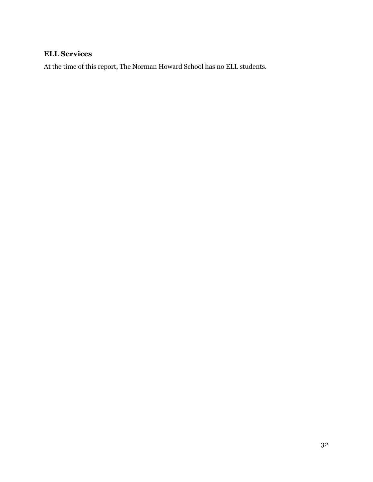# <span id="page-32-0"></span>**ELL Services**

At the time of this report, The Norman Howard School has no ELL students.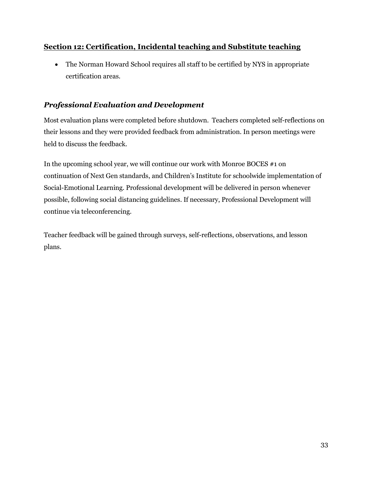#### <span id="page-33-1"></span><span id="page-33-0"></span>**Section 12: Certification, Incidental teaching and Substitute teaching**

• The Norman Howard School requires all staff to be certified by NYS in appropriate certification areas.

#### <span id="page-33-2"></span>*Professional Evaluation and Development*

Most evaluation plans were completed before shutdown. Teachers completed self-reflections on their lessons and they were provided feedback from administration. In person meetings were held to discuss the feedback.

In the upcoming school year, we will continue our work with Monroe BOCES #1 on continuation of Next Gen standards, and Children's Institute for schoolwide implementation of Social-Emotional Learning. Professional development will be delivered in person whenever possible, following social distancing guidelines. If necessary, Professional Development will continue via teleconferencing.

Teacher feedback will be gained through surveys, self-reflections, observations, and lesson plans.